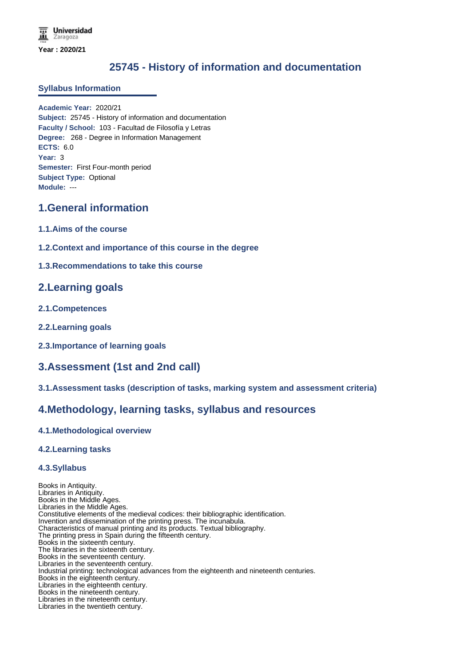# **25745 - History of information and documentation**

#### **Syllabus Information**

**Academic Year:** 2020/21 **Subject:** 25745 - History of information and documentation **Faculty / School:** 103 - Facultad de Filosofía y Letras **Degree:** 268 - Degree in Information Management **ECTS:** 6.0 **Year:** 3 **Semester:** First Four-month period **Subject Type:** Optional **Module:** ---

### **1.General information**

- **1.1.Aims of the course**
- **1.2.Context and importance of this course in the degree**

### **1.3.Recommendations to take this course**

### **2.Learning goals**

- **2.1.Competences**
- **2.2.Learning goals**
- **2.3.Importance of learning goals**

## **3.Assessment (1st and 2nd call)**

**3.1.Assessment tasks (description of tasks, marking system and assessment criteria)**

### **4.Methodology, learning tasks, syllabus and resources**

### **4.1.Methodological overview**

### **4.2.Learning tasks**

### **4.3.Syllabus**

Books in Antiquity. Libraries in Antiquity. Books in the Middle Ages. Libraries in the Middle Ages. Constitutive elements of the medieval codices: their bibliographic identification. Invention and dissemination of the printing press. The incunabula. Characteristics of manual printing and its products. Textual bibliography. The printing press in Spain during the fifteenth century. Books in the sixteenth century. The libraries in the sixteenth century. Books in the seventeenth century. Libraries in the seventeenth century. Industrial printing: technological advances from the eighteenth and nineteenth centuries. Books in the eighteenth century. Libraries in the eighteenth century. Books in the nineteenth century. Libraries in the nineteenth century. Libraries in the twentieth century.